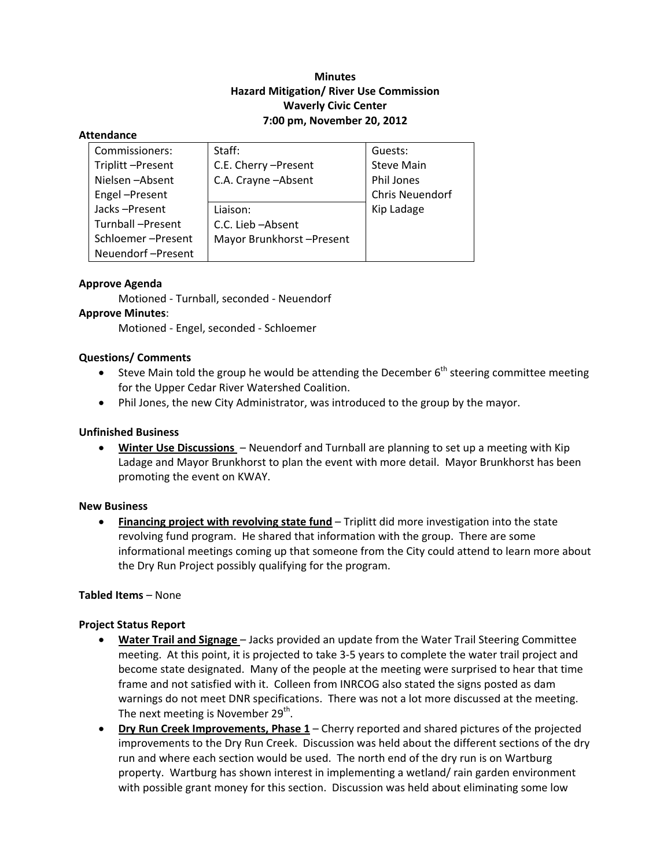# **Minutes Hazard Mitigation/ River Use Commission Waverly Civic Center 7:00 pm, November 20, 2012**

#### **Attendance**

| Commissioners:    | Staff:                   | Guests:           |
|-------------------|--------------------------|-------------------|
| Triplitt-Present  | C.E. Cherry - Present    | <b>Steve Main</b> |
| Nielsen-Absent    | C.A. Crayne - Absent     | Phil Jones        |
| Engel-Present     |                          | Chris Neuendorf   |
| Jacks-Present     | Liaison:                 | Kip Ladage        |
| Turnball-Present  | C.C. Lieb-Absent         |                   |
| Schloemer-Present | Mayor Brunkhorst-Present |                   |
| Neuendorf-Present |                          |                   |

### **Approve Agenda**

Motioned ‐ Turnball, seconded ‐ Neuendorf

### **Approve Minutes**:

Motioned ‐ Engel, seconded ‐ Schloemer

### **Questions/ Comments**

- Steve Main told the group he would be attending the December  $6<sup>th</sup>$  steering committee meeting for the Upper Cedar River Watershed Coalition.
- Phil Jones, the new City Administrator, was introduced to the group by the mayor.

### **Unfinished Business**

 **Winter Use Discussions** – Neuendorf and Turnball are planning to set up a meeting with Kip Ladage and Mayor Brunkhorst to plan the event with more detail. Mayor Brunkhorst has been promoting the event on KWAY.

#### **New Business**

 **Financing project with revolving state fund** – Triplitt did more investigation into the state revolving fund program. He shared that information with the group. There are some informational meetings coming up that someone from the City could attend to learn more about the Dry Run Project possibly qualifying for the program.

### **Tabled Items** – None

### **Project Status Report**

- **Water Trail and Signage** Jacks provided an update from the Water Trail Steering Committee meeting. At this point, it is projected to take 3‐5 years to complete the water trail project and become state designated. Many of the people at the meeting were surprised to hear that time frame and not satisfied with it. Colleen from INRCOG also stated the signs posted as dam warnings do not meet DNR specifications. There was not a lot more discussed at the meeting. The next meeting is November  $29<sup>th</sup>$ .
- **Dry Run Creek Improvements, Phase 1** Cherry reported and shared pictures of the projected improvements to the Dry Run Creek. Discussion was held about the different sections of the dry run and where each section would be used. The north end of the dry run is on Wartburg property. Wartburg has shown interest in implementing a wetland/ rain garden environment with possible grant money for this section. Discussion was held about eliminating some low